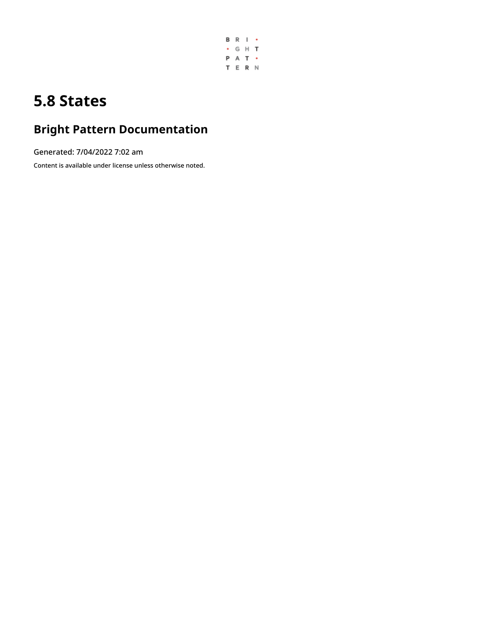

# **5.8 States**

# **Bright Pattern Documentation**

Generated: 7/04/2022 7:02 am

Content is available under license unless otherwise noted.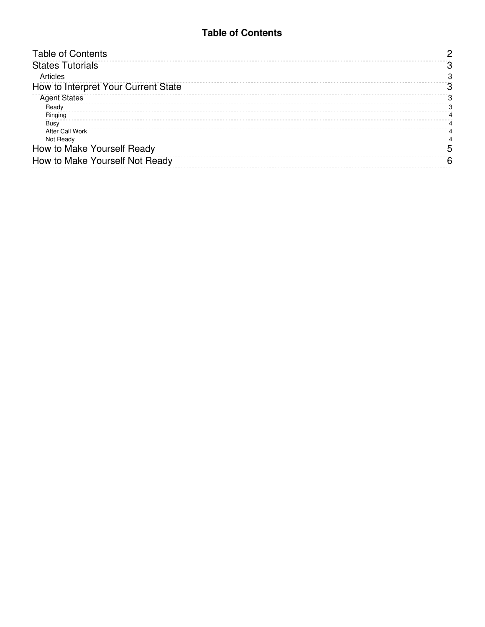### **Table of Contents**

<span id="page-1-0"></span>

| <b>Table of Contents</b>            |    |
|-------------------------------------|----|
| <b>States Tutorials</b>             |    |
| Articles                            |    |
| How to Interpret Your Current State |    |
| <b>Agent States</b>                 |    |
| Ready                               |    |
| Ringing                             |    |
| Busy                                |    |
| <b>After Call Work</b>              |    |
| Not Ready                           |    |
| How to Make Yourself Ready          | :C |
| How to Make Yourself Not Ready      |    |
|                                     |    |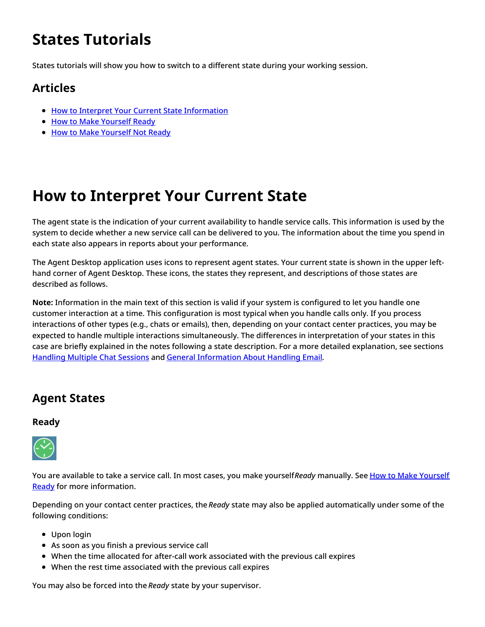# <span id="page-2-0"></span>**States Tutorials**

States tutorials will show you how to switch to a different state during your working session.

### <span id="page-2-1"></span>**Articles**

- How to Interpret Your Current State [Information](https://help.brightpattern.com/5.8:Agent-guide/Tutorials/States/?action=html-localimages-export#topic_agent-guide.2Ftutorials.2Fstates.2Fhowtointerpretyourcurrentstateinformation)
- How to Make [Yourself](https://help.brightpattern.com/5.8:Agent-guide/Tutorials/States/?action=html-localimages-export#topic_agent-guide.2Ftutorials.2Fstates.2Fhowtomakeyourselfready) Ready
- How to Make [Yourself](https://help.brightpattern.com/5.8:Agent-guide/Tutorials/States/?action=html-localimages-export#topic_agent-guide.2Ftutorials.2Fstates.2Fhowtomakeyourselfnotready) Not Ready

## <span id="page-2-2"></span>**How to Interpret Your Current State**

The agent state is the indication of your current availability to handle service calls. This information is used by the system to decide whether a new service call can be delivered to you. The information about the time you spend in each state also appears in reports about your performance.

The Agent Desktop application uses icons to represent agent states. Your current state is shown in the upper lefthand corner of Agent Desktop. These icons, the states they represent, and descriptions of those states are described as follows.

**Note:** Information in the main text of this section is valid if your system is configured to let you handle one customer interaction at a time. This configuration is most typical when you handle calls only. If you process interactions of other types (e.g., chats or emails), then, depending on your contact center practices, you may be expected to handle multiple interactions simultaneously. The differences in interpretation of your states in this case are briefly explained in the notes following a state description. For a more detailed explanation, see sections [Handling](https://help.brightpattern.com/5.8:Agent-guide/Tutorials/States/?action=html-localimages-export#topic_agent-guide.2Fhandlingmultiplechatsessions) Multiple Chat Sessions and General [Information](https://help.brightpattern.com/5.8:Agent-guide/Tutorials/States/?action=html-localimages-export#topic_agent-guide.2Fgeneralinformationabouthandlingemail) About Handling Email.

### <span id="page-2-3"></span>**Agent States**

#### <span id="page-2-4"></span>**Ready**



You are available to take a service call. In most cases, you make yourself*Ready* manually. See How to Make Yourself **Ready** for more [information.](https://help.brightpattern.com/5.8:Agent-guide/Tutorials/States/?action=html-localimages-export#topic_agent-guide.2Fhowtomakeyourselfready)

Depending on your contact center practices, the *Ready* state may also be applied automatically under some of the following conditions:

- Upon login
- As soon as you finish a previous service call
- When the time allocated for after-call work associated with the previous call expires
- When the rest time associated with the previous call expires

You may also be forced into the *Ready* state by your supervisor.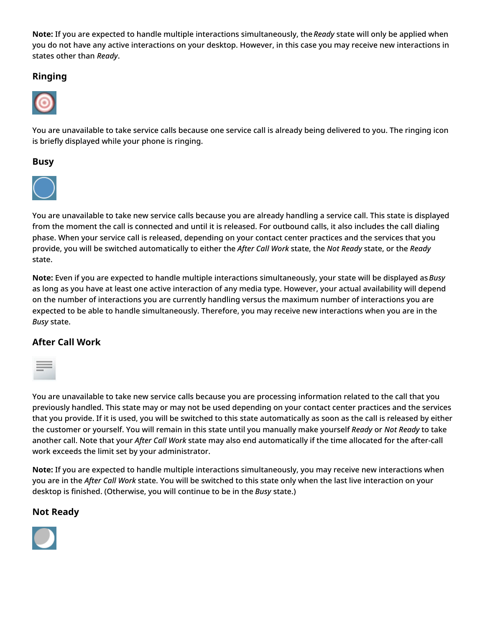**Note:** If you are expected to handle multiple interactions simultaneously, the*Ready* state will only be applied when you do not have any active interactions on your desktop. However, in this case you may receive new interactions in states other than *Ready*.

### <span id="page-3-0"></span>**Ringing**



You are unavailable to take service calls because one service call is already being delivered to you. The ringing icon is briefly displayed while your phone is ringing.

#### <span id="page-3-1"></span>**Busy**



You are unavailable to take new service calls because you are already handling a service call. This state is displayed from the moment the call is connected and until it is released. For outbound calls, it also includes the call dialing phase. When your service call is released, depending on your contact center practices and the services that you provide, you will be switched automatically to either the *After Call Work* state, the *Not Ready* state, or the *Ready* state.

**Note:** Even if you are expected to handle multiple interactions simultaneously, your state will be displayed as*Busy* as long as you have at least one active interaction of any media type. However, your actual availability will depend on the number of interactions you are currently handling versus the maximum number of interactions you are expected to be able to handle simultaneously. Therefore, you may receive new interactions when you are in the *Busy* state.

### <span id="page-3-2"></span>**After Call Work**



You are unavailable to take new service calls because you are processing information related to the call that you previously handled. This state may or may not be used depending on your contact center practices and the services that you provide. If it is used, you will be switched to this state automatically as soon as the call is released by either the customer or yourself. You will remain in this state until you manually make yourself *Ready* or *Not Ready* to take another call. Note that your *After Call Work* state may also end automatically if the time allocated for the after-call work exceeds the limit set by your administrator.

**Note:** If you are expected to handle multiple interactions simultaneously, you may receive new interactions when you are in the *After Call Work* state. You will be switched to this state only when the last live interaction on your desktop is finished. (Otherwise, you will continue to be in the *Busy* state.)

#### <span id="page-3-3"></span>**Not Ready**

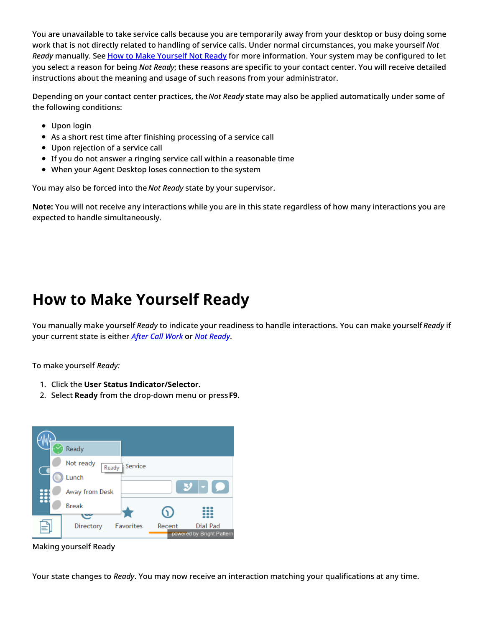You are unavailable to take service calls because you are temporarily away from your desktop or busy doing some work that is not directly related to handling of service calls. Under normal circumstances, you make yourself *Not Ready* manually. See How to Make [Yourself](https://help.brightpattern.com/5.8:Agent-guide/Tutorials/States/?action=html-localimages-export#topic_agent-guide.2Fhowtomakeyourselfnotready) Not Ready for more information. Your system may be configured to let you select a reason for being *Not Ready*; these reasons are specific to your contact center. You will receive detailed instructions about the meaning and usage of such reasons from your administrator.

Depending on your contact center practices, the *Not Ready* state may also be applied automatically under some of the following conditions:

- Upon login
- As a short rest time after finishing processing of a service call
- Upon rejection of a service call
- If you do not answer a ringing service call within a reasonable time
- When your Agent Desktop loses connection to the system

You may also be forced into the *Not Ready* state by your supervisor.

**Note:** You will not receive any interactions while you are in this state regardless of how many interactions you are expected to handle simultaneously.

### <span id="page-4-0"></span>**How to Make Yourself Ready**

You manually make yourself *Ready* to indicate your readiness to handle interactions. You can make yourself *Ready* if your current state is either *After Call [Work](https://help.brightpattern.com/5.8:Agent-guide/Tutorials/States/?action=html-localimages-export#topic_agent-guide.2Fhowtointerpretyourcurrentstateinformation)* or *Not [Ready](https://help.brightpattern.com/5.8:Agent-guide/Tutorials/States/?action=html-localimages-export#topic_agent-guide.2Fhowtointerpretyourcurrentstateinformation)*.

To make yourself *Ready:*

- 1. Click the **User Status Indicator/Selector.**
- 2. Select **Ready** from the drop-down menu or press**F9.**



Making yourself Ready

Your state changes to *Ready*. You may now receive an interaction matching your qualifications at any time.